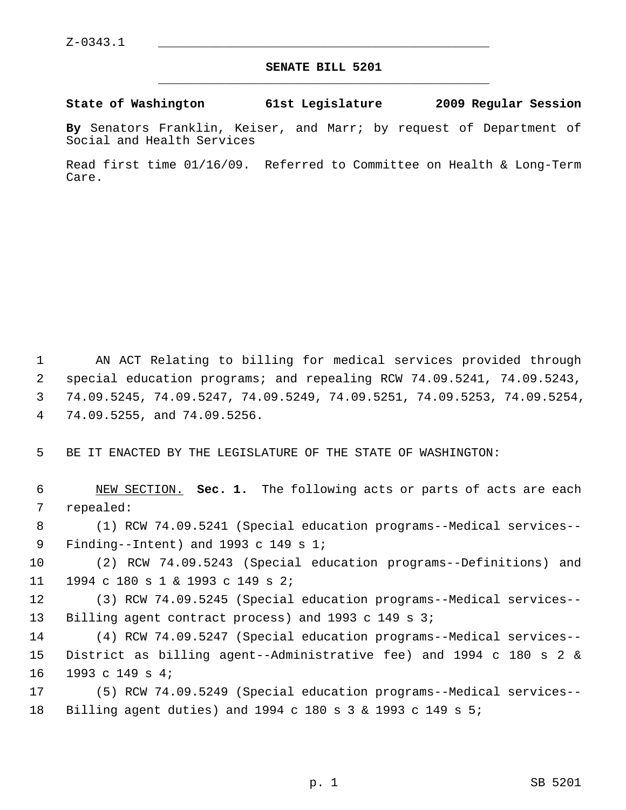## **SENATE BILL 5201** \_\_\_\_\_\_\_\_\_\_\_\_\_\_\_\_\_\_\_\_\_\_\_\_\_\_\_\_\_\_\_\_\_\_\_\_\_\_\_\_\_\_\_\_\_

## **State of Washington 61st Legislature 2009 Regular Session**

**By** Senators Franklin, Keiser, and Marr; by request of Department of Social and Health Services

Read first time 01/16/09. Referred to Committee on Health & Long-Term Care.

 1 AN ACT Relating to billing for medical services provided through 2 special education programs; and repealing RCW 74.09.5241, 74.09.5243, 3 74.09.5245, 74.09.5247, 74.09.5249, 74.09.5251, 74.09.5253, 74.09.5254, 4 74.09.5255, and 74.09.5256.

5 BE IT ENACTED BY THE LEGISLATURE OF THE STATE OF WASHINGTON:

 6 NEW SECTION. **Sec. 1.** The following acts or parts of acts are each 7 repealed:

 8 (1) RCW 74.09.5241 (Special education programs--Medical services-- 9 Finding--Intent) and 1993 c 149 s 1;

10 (2) RCW 74.09.5243 (Special education programs--Definitions) and 11 1994 c 180 s 1 & 1993 c 149 s 2;

12 (3) RCW 74.09.5245 (Special education programs--Medical services-- 13 Billing agent contract process) and 1993 c 149 s 3;

14 (4) RCW 74.09.5247 (Special education programs--Medical services-- 15 District as billing agent--Administrative fee) and 1994 c 180 s 2 & 16 1993 c 149 s 4;

17 (5) RCW 74.09.5249 (Special education programs--Medical services-- 18 Billing agent duties) and 1994 c 180 s 3 & 1993 c 149 s 5;